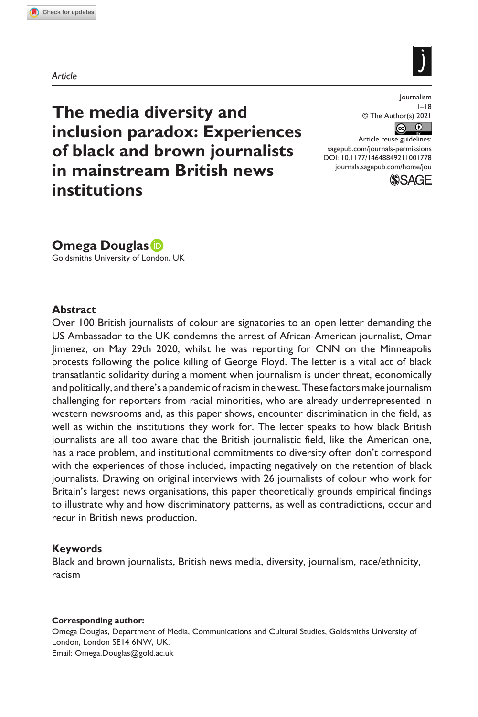**1001[77](http://crossmark.crossref.org/dialog/?doi=10.1177%2F14648849211001778&domain=pdf&date_stamp=2021-03-11)**JOU0010.1177/14648849211001778Journalism**Douglas**





**The media diversity and inclusion paradox: Experiences of black and brown journalists in mainstream British news institutions**

Journalism  $1 - 18$ © The Author(s) 2021  $\boxed{6}$ 

DOI: 10.1177/14648849211001778 Article reuse guidelines: [sagepub.com/journals-permissions](https://uk.sagepub.com/en-gb/journals-permissions) [journals.sagepub.com/home/jou](https://journals.sagepub.com/home/jou)



**Omega Douglas**

Goldsmiths University of London, UK

#### **Abstract**

Over 100 British journalists of colour are signatories to an open letter demanding the US Ambassador to the UK condemns the arrest of African-American journalist, Omar Jimenez, on May 29th 2020, whilst he was reporting for CNN on the Minneapolis protests following the police killing of George Floyd. The letter is a vital act of black transatlantic solidarity during a moment when journalism is under threat, economically and politically, and there's a pandemic of racism in the west. These factors make journalism challenging for reporters from racial minorities, who are already underrepresented in western newsrooms and, as this paper shows, encounter discrimination in the field, as well as within the institutions they work for. The letter speaks to how black British journalists are all too aware that the British journalistic field, like the American one, has a race problem, and institutional commitments to diversity often don't correspond with the experiences of those included, impacting negatively on the retention of black journalists. Drawing on original interviews with 26 journalists of colour who work for Britain's largest news organisations, this paper theoretically grounds empirical findings to illustrate why and how discriminatory patterns, as well as contradictions, occur and recur in British news production.

#### **Keywords**

Black and brown journalists, British news media, diversity, journalism, race/ethnicity, racism

#### **Corresponding author:**

Omega Douglas, Department of Media, Communications and Cultural Studies, Goldsmiths University of London, London SE14 6NW, UK. Email: [Omega.Douglas@gold.ac.uk](mailto:Omega.Douglas@gold.ac.uk)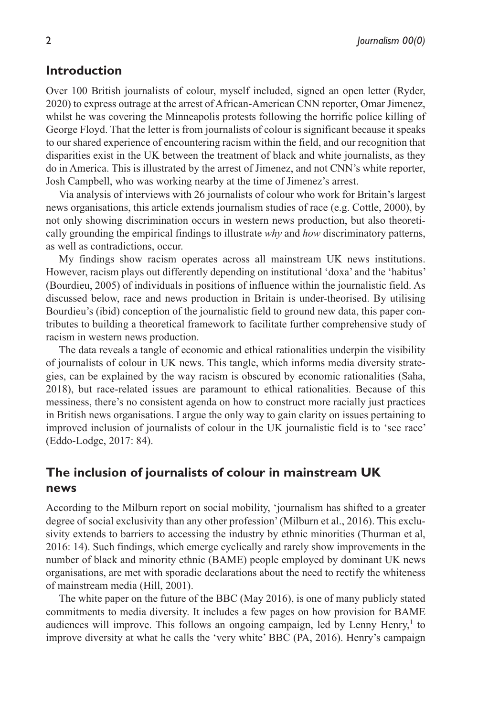### **Introduction**

Over 100 British journalists of colour, myself included, signed an open letter (Ryder, 2020) to express outrage at the arrest of African-American CNN reporter, Omar Jimenez, whilst he was covering the Minneapolis protests following the horrific police killing of George Floyd. That the letter is from journalists of colour is significant because it speaks to our shared experience of encountering racism within the field, and our recognition that disparities exist in the UK between the treatment of black and white journalists, as they do in America. This is illustrated by the arrest of Jimenez, and not CNN's white reporter, Josh Campbell, who was working nearby at the time of Jimenez's arrest.

Via analysis of interviews with 26 journalists of colour who work for Britain's largest news organisations, this article extends journalism studies of race (e.g. Cottle, 2000), by not only showing discrimination occurs in western news production, but also theoretically grounding the empirical findings to illustrate *why* and *how* discriminatory patterns, as well as contradictions, occur.

My findings show racism operates across all mainstream UK news institutions. However, racism plays out differently depending on institutional 'doxa' and the 'habitus' (Bourdieu, 2005) of individuals in positions of influence within the journalistic field. As discussed below, race and news production in Britain is under-theorised. By utilising Bourdieu's (ibid) conception of the journalistic field to ground new data, this paper contributes to building a theoretical framework to facilitate further comprehensive study of racism in western news production.

The data reveals a tangle of economic and ethical rationalities underpin the visibility of journalists of colour in UK news. This tangle, which informs media diversity strategies, can be explained by the way racism is obscured by economic rationalities (Saha, 2018), but race-related issues are paramount to ethical rationalities. Because of this messiness, there's no consistent agenda on how to construct more racially just practices in British news organisations. I argue the only way to gain clarity on issues pertaining to improved inclusion of journalists of colour in the UK journalistic field is to 'see race' (Eddo-Lodge, 2017: 84).

### **The inclusion of journalists of colour in mainstream UK news**

According to the Milburn report on social mobility, 'journalism has shifted to a greater degree of social exclusivity than any other profession' (Milburn et al., 2016). This exclusivity extends to barriers to accessing the industry by ethnic minorities (Thurman et al, 2016: 14). Such findings, which emerge cyclically and rarely show improvements in the number of black and minority ethnic (BAME) people employed by dominant UK news organisations, are met with sporadic declarations about the need to rectify the whiteness of mainstream media (Hill, 2001).

The white paper on the future of the BBC (May 2016), is one of many publicly stated commitments to media diversity. It includes a few pages on how provision for BAME audiences will improve. This follows an ongoing campaign, led by Lenny Henry,<sup>1</sup> to improve diversity at what he calls the 'very white' BBC (PA, 2016). Henry's campaign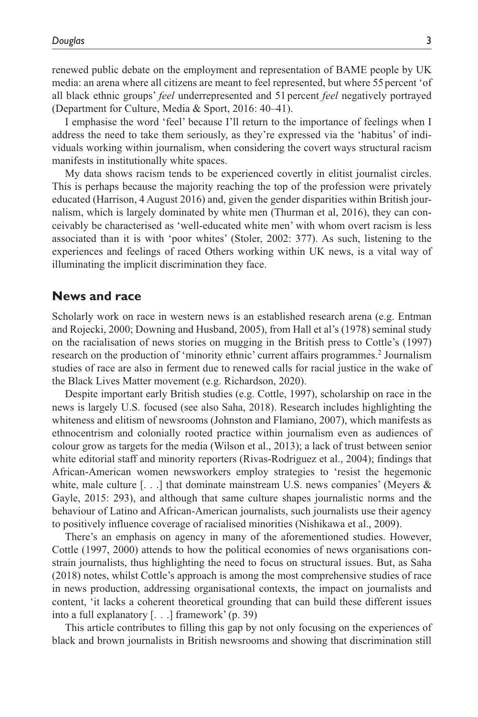renewed public debate on the employment and representation of BAME people by UK media: an arena where all citizens are meant to feel represented, but where 55 percent 'of all black ethnic groups' *feel* underrepresented and 51 percent *feel* negatively portrayed (Department for Culture, Media & Sport, 2016: 40–41).

I emphasise the word 'feel' because I'll return to the importance of feelings when I address the need to take them seriously, as they're expressed via the 'habitus' of individuals working within journalism, when considering the covert ways structural racism manifests in institutionally white spaces.

My data shows racism tends to be experienced covertly in elitist journalist circles. This is perhaps because the majority reaching the top of the profession were privately educated (Harrison, 4 August 2016) and, given the gender disparities within British journalism, which is largely dominated by white men (Thurman et al, 2016), they can conceivably be characterised as 'well-educated white men' with whom overt racism is less associated than it is with 'poor whites' (Stoler, 2002: 377). As such, listening to the experiences and feelings of raced Others working within UK news, is a vital way of illuminating the implicit discrimination they face.

#### **News and race**

Scholarly work on race in western news is an established research arena (e.g. Entman and Rojecki, 2000; Downing and Husband, 2005), from Hall et al's (1978) seminal study on the racialisation of news stories on mugging in the British press to Cottle's (1997) research on the production of 'minority ethnic' current affairs programmes.<sup>2</sup> Journalism studies of race are also in ferment due to renewed calls for racial justice in the wake of the Black Lives Matter movement (e.g. Richardson, 2020).

Despite important early British studies (e.g. Cottle, 1997), scholarship on race in the news is largely U.S. focused (see also Saha, 2018). Research includes highlighting the whiteness and elitism of newsrooms (Johnston and Flamiano, 2007), which manifests as ethnocentrism and colonially rooted practice within journalism even as audiences of colour grow as targets for the media (Wilson et al., 2013); a lack of trust between senior white editorial staff and minority reporters (Rivas-Rodriguez et al., 2004); findings that African-American women newsworkers employ strategies to 'resist the hegemonic white, male culture  $[\ldots]$  that dominate mainstream U.S. news companies' (Meyers & Gayle, 2015: 293), and although that same culture shapes journalistic norms and the behaviour of Latino and African-American journalists, such journalists use their agency to positively influence coverage of racialised minorities (Nishikawa et al., 2009).

There's an emphasis on agency in many of the aforementioned studies. However, Cottle (1997, 2000) attends to how the political economies of news organisations constrain journalists, thus highlighting the need to focus on structural issues. But, as Saha (2018) notes, whilst Cottle's approach is among the most comprehensive studies of race in news production, addressing organisational contexts, the impact on journalists and content, 'it lacks a coherent theoretical grounding that can build these different issues into a full explanatory [. . .] framework' (p. 39)

This article contributes to filling this gap by not only focusing on the experiences of black and brown journalists in British newsrooms and showing that discrimination still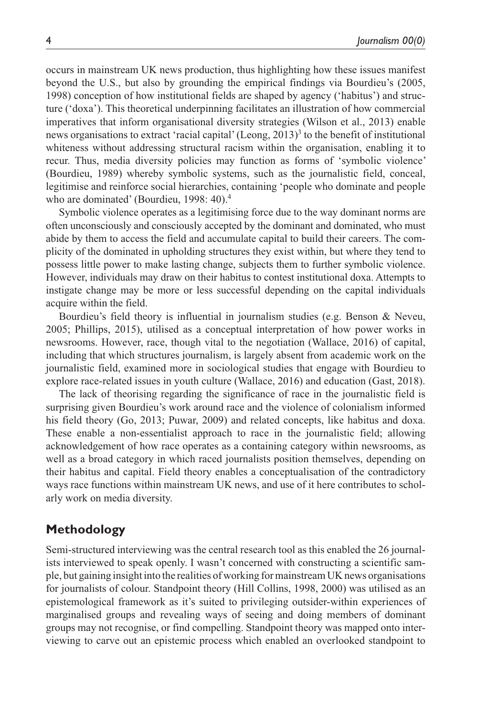occurs in mainstream UK news production, thus highlighting how these issues manifest beyond the U.S., but also by grounding the empirical findings via Bourdieu's (2005, 1998) conception of how institutional fields are shaped by agency ('habitus') and structure ('doxa'). This theoretical underpinning facilitates an illustration of how commercial imperatives that inform organisational diversity strategies (Wilson et al., 2013) enable news organisations to extract 'racial capital' (Leong, 2013)<sup>3</sup> to the benefit of institutional whiteness without addressing structural racism within the organisation, enabling it to recur. Thus, media diversity policies may function as forms of 'symbolic violence' (Bourdieu, 1989) whereby symbolic systems, such as the journalistic field, conceal, legitimise and reinforce social hierarchies, containing 'people who dominate and people who are dominated' (Bourdieu, 1998: 40).<sup>4</sup>

Symbolic violence operates as a legitimising force due to the way dominant norms are often unconsciously and consciously accepted by the dominant and dominated, who must abide by them to access the field and accumulate capital to build their careers. The complicity of the dominated in upholding structures they exist within, but where they tend to possess little power to make lasting change, subjects them to further symbolic violence. However, individuals may draw on their habitus to contest institutional doxa. Attempts to instigate change may be more or less successful depending on the capital individuals acquire within the field.

Bourdieu's field theory is influential in journalism studies (e.g. Benson & Neveu, 2005; Phillips, 2015), utilised as a conceptual interpretation of how power works in newsrooms. However, race, though vital to the negotiation (Wallace, 2016) of capital, including that which structures journalism, is largely absent from academic work on the journalistic field, examined more in sociological studies that engage with Bourdieu to explore race-related issues in youth culture (Wallace, 2016) and education (Gast, 2018).

The lack of theorising regarding the significance of race in the journalistic field is surprising given Bourdieu's work around race and the violence of colonialism informed his field theory (Go, 2013; Puwar, 2009) and related concepts, like habitus and doxa. These enable a non-essentialist approach to race in the journalistic field; allowing acknowledgement of how race operates as a containing category within newsrooms, as well as a broad category in which raced journalists position themselves, depending on their habitus and capital. Field theory enables a conceptualisation of the contradictory ways race functions within mainstream UK news, and use of it here contributes to scholarly work on media diversity.

### **Methodology**

Semi-structured interviewing was the central research tool as this enabled the 26 journalists interviewed to speak openly. I wasn't concerned with constructing a scientific sample, but gaining insight into the realities of working for mainstream UK news organisations for journalists of colour. Standpoint theory (Hill Collins, 1998, 2000) was utilised as an epistemological framework as it's suited to privileging outsider-within experiences of marginalised groups and revealing ways of seeing and doing members of dominant groups may not recognise, or find compelling. Standpoint theory was mapped onto interviewing to carve out an epistemic process which enabled an overlooked standpoint to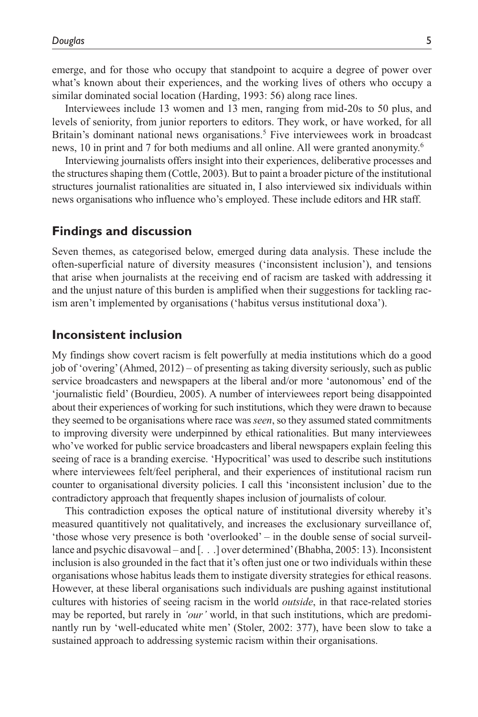emerge, and for those who occupy that standpoint to acquire a degree of power over what's known about their experiences, and the working lives of others who occupy a similar dominated social location (Harding, 1993: 56) along race lines.

Interviewees include 13 women and 13 men, ranging from mid-20s to 50 plus, and levels of seniority, from junior reporters to editors. They work, or have worked, for all Britain's dominant national news organisations.<sup>5</sup> Five interviewees work in broadcast news, 10 in print and 7 for both mediums and all online. All were granted anonymity.6

Interviewing journalists offers insight into their experiences, deliberative processes and the structures shaping them (Cottle, 2003). But to paint a broader picture of the institutional structures journalist rationalities are situated in, I also interviewed six individuals within news organisations who influence who's employed. These include editors and HR staff.

### **Findings and discussion**

Seven themes, as categorised below, emerged during data analysis. These include the often-superficial nature of diversity measures ('inconsistent inclusion'), and tensions that arise when journalists at the receiving end of racism are tasked with addressing it and the unjust nature of this burden is amplified when their suggestions for tackling racism aren't implemented by organisations ('habitus versus institutional doxa').

### **Inconsistent inclusion**

My findings show covert racism is felt powerfully at media institutions which do a good job of 'overing' (Ahmed, 2012) – of presenting as taking diversity seriously, such as public service broadcasters and newspapers at the liberal and/or more 'autonomous' end of the 'journalistic field' (Bourdieu, 2005). A number of interviewees report being disappointed about their experiences of working for such institutions, which they were drawn to because they seemed to be organisations where race was *seen*, so they assumed stated commitments to improving diversity were underpinned by ethical rationalities. But many interviewees who've worked for public service broadcasters and liberal newspapers explain feeling this seeing of race is a branding exercise. 'Hypocritical' was used to describe such institutions where interviewees felt/feel peripheral, and their experiences of institutional racism run counter to organisational diversity policies. I call this 'inconsistent inclusion' due to the contradictory approach that frequently shapes inclusion of journalists of colour.

This contradiction exposes the optical nature of institutional diversity whereby it's measured quantitively not qualitatively, and increases the exclusionary surveillance of, 'those whose very presence is both 'overlooked' – in the double sense of social surveillance and psychic disavowal – and [. . .] over determined' (Bhabha, 2005: 13). Inconsistent inclusion is also grounded in the fact that it's often just one or two individuals within these organisations whose habitus leads them to instigate diversity strategies for ethical reasons. However, at these liberal organisations such individuals are pushing against institutional cultures with histories of seeing racism in the world *outside*, in that race-related stories may be reported, but rarely in *'our'* world, in that such institutions, which are predominantly run by 'well-educated white men' (Stoler, 2002: 377), have been slow to take a sustained approach to addressing systemic racism within their organisations.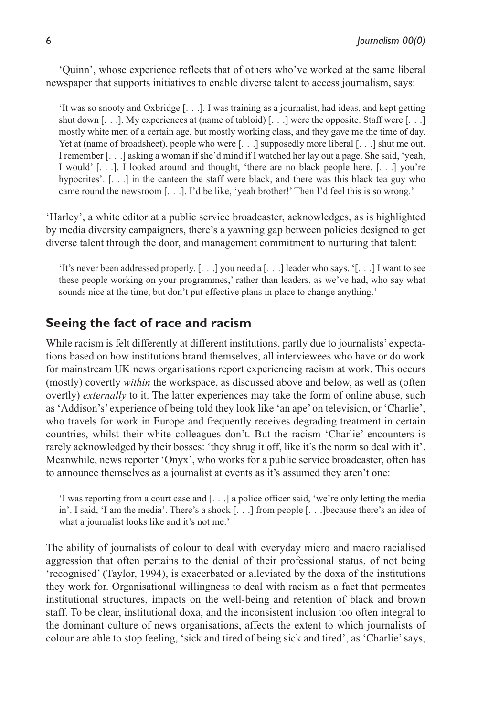'Quinn', whose experience reflects that of others who've worked at the same liberal newspaper that supports initiatives to enable diverse talent to access journalism, says:

'It was so snooty and Oxbridge [. . .]. I was training as a journalist, had ideas, and kept getting shut down [. . .]. My experiences at (name of tabloid) [. . .] were the opposite. Staff were [. . .] mostly white men of a certain age, but mostly working class, and they gave me the time of day. Yet at (name of broadsheet), people who were [. . .] supposedly more liberal [. . .] shut me out. I remember [. . .] asking a woman if she'd mind if I watched her lay out a page. She said, 'yeah, I would' [. . .]. I looked around and thought, 'there are no black people here. [. . .] you're hypocrites'. [...] in the canteen the staff were black, and there was this black tea guy who came round the newsroom [. . .]. I'd be like, 'yeah brother!' Then I'd feel this is so wrong.'

'Harley', a white editor at a public service broadcaster, acknowledges, as is highlighted by media diversity campaigners, there's a yawning gap between policies designed to get diverse talent through the door, and management commitment to nurturing that talent:

'It's never been addressed properly. [. . .] you need a [. . .] leader who says, '[. . .] I want to see these people working on your programmes,' rather than leaders, as we've had, who say what sounds nice at the time, but don't put effective plans in place to change anything.'

### **Seeing the fact of race and racism**

While racism is felt differently at different institutions, partly due to journalists' expectations based on how institutions brand themselves, all interviewees who have or do work for mainstream UK news organisations report experiencing racism at work. This occurs (mostly) covertly *within* the workspace, as discussed above and below, as well as (often overtly) *externally* to it. The latter experiences may take the form of online abuse, such as 'Addison's' experience of being told they look like 'an ape' on television, or 'Charlie', who travels for work in Europe and frequently receives degrading treatment in certain countries, whilst their white colleagues don't. But the racism 'Charlie' encounters is rarely acknowledged by their bosses: 'they shrug it off, like it's the norm so deal with it'. Meanwhile, news reporter 'Onyx', who works for a public service broadcaster, often has to announce themselves as a journalist at events as it's assumed they aren't one:

'I was reporting from a court case and [. . .] a police officer said, 'we're only letting the media in'. I said, 'I am the media'. There's a shock [. . .] from people [. . .]because there's an idea of what a journalist looks like and it's not me.'

The ability of journalists of colour to deal with everyday micro and macro racialised aggression that often pertains to the denial of their professional status, of not being 'recognised' (Taylor, 1994), is exacerbated or alleviated by the doxa of the institutions they work for. Organisational willingness to deal with racism as a fact that permeates institutional structures, impacts on the well-being and retention of black and brown staff. To be clear, institutional doxa, and the inconsistent inclusion too often integral to the dominant culture of news organisations, affects the extent to which journalists of colour are able to stop feeling, 'sick and tired of being sick and tired', as 'Charlie' says,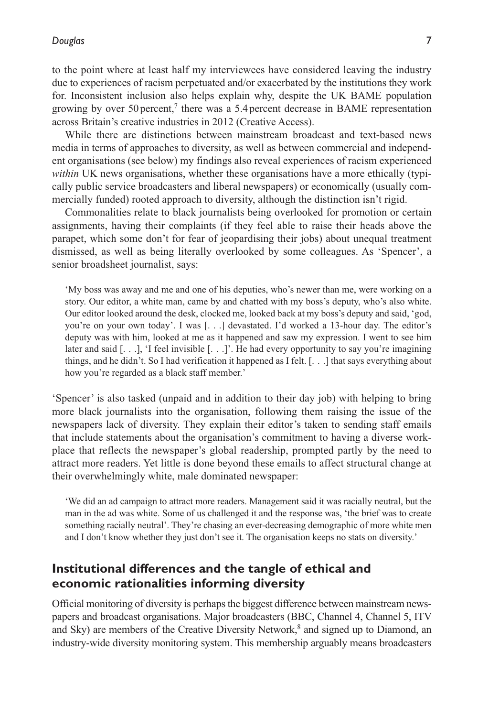to the point where at least half my interviewees have considered leaving the industry due to experiences of racism perpetuated and/or exacerbated by the institutions they work for. Inconsistent inclusion also helps explain why, despite the UK BAME population growing by over  $50$  percent,<sup>7</sup> there was a  $5.4$  percent decrease in BAME representation across Britain's creative industries in 2012 (Creative Access).

While there are distinctions between mainstream broadcast and text-based news media in terms of approaches to diversity, as well as between commercial and independent organisations (see below) my findings also reveal experiences of racism experienced *within* UK news organisations, whether these organisations have a more ethically (typically public service broadcasters and liberal newspapers) or economically (usually commercially funded) rooted approach to diversity, although the distinction isn't rigid.

Commonalities relate to black journalists being overlooked for promotion or certain assignments, having their complaints (if they feel able to raise their heads above the parapet, which some don't for fear of jeopardising their jobs) about unequal treatment dismissed, as well as being literally overlooked by some colleagues. As 'Spencer', a senior broadsheet journalist, says:

'My boss was away and me and one of his deputies, who's newer than me, were working on a story. Our editor, a white man, came by and chatted with my boss's deputy, who's also white. Our editor looked around the desk, clocked me, looked back at my boss's deputy and said, 'god, you're on your own today'. I was [...] devastated. I'd worked a 13-hour day. The editor's deputy was with him, looked at me as it happened and saw my expression. I went to see him later and said [. . .], 'I feel invisible [. . .]'. He had every opportunity to say you're imagining things, and he didn't. So I had verification it happened as I felt. [. . .] that says everything about how you're regarded as a black staff member.'

'Spencer' is also tasked (unpaid and in addition to their day job) with helping to bring more black journalists into the organisation, following them raising the issue of the newspapers lack of diversity. They explain their editor's taken to sending staff emails that include statements about the organisation's commitment to having a diverse workplace that reflects the newspaper's global readership, prompted partly by the need to attract more readers. Yet little is done beyond these emails to affect structural change at their overwhelmingly white, male dominated newspaper:

'We did an ad campaign to attract more readers. Management said it was racially neutral, but the man in the ad was white. Some of us challenged it and the response was, 'the brief was to create something racially neutral'. They're chasing an ever-decreasing demographic of more white men and I don't know whether they just don't see it. The organisation keeps no stats on diversity.'

# **Institutional differences and the tangle of ethical and economic rationalities informing diversity**

Official monitoring of diversity is perhaps the biggest difference between mainstream newspapers and broadcast organisations. Major broadcasters (BBC, Channel 4, Channel 5, ITV and Sky) are members of the Creative Diversity Network,<sup>8</sup> and signed up to Diamond, an industry-wide diversity monitoring system. This membership arguably means broadcasters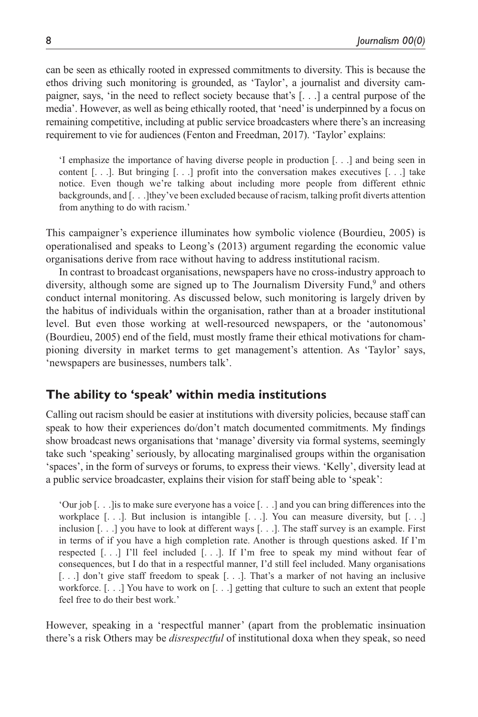can be seen as ethically rooted in expressed commitments to diversity. This is because the ethos driving such monitoring is grounded, as 'Taylor', a journalist and diversity campaigner, says, 'in the need to reflect society because that's [. . .] a central purpose of the media'. However, as well as being ethically rooted, that 'need' is underpinned by a focus on remaining competitive, including at public service broadcasters where there's an increasing requirement to vie for audiences (Fenton and Freedman, 2017). 'Taylor' explains:

'I emphasize the importance of having diverse people in production [. . .] and being seen in content  $[\dots]$ . But bringing  $[\dots]$  profit into the conversation makes executives  $[\dots]$  take notice. Even though we're talking about including more people from different ethnic backgrounds, and [. . .]they've been excluded because of racism, talking profit diverts attention from anything to do with racism.'

This campaigner's experience illuminates how symbolic violence (Bourdieu, 2005) is operationalised and speaks to Leong's (2013) argument regarding the economic value organisations derive from race without having to address institutional racism.

In contrast to broadcast organisations, newspapers have no cross-industry approach to diversity, although some are signed up to The Journalism Diversity Fund,<sup>9</sup> and others conduct internal monitoring. As discussed below, such monitoring is largely driven by the habitus of individuals within the organisation, rather than at a broader institutional level. But even those working at well-resourced newspapers, or the 'autonomous' (Bourdieu, 2005) end of the field, must mostly frame their ethical motivations for championing diversity in market terms to get management's attention. As 'Taylor' says, 'newspapers are businesses, numbers talk'.

### **The ability to 'speak' within media institutions**

Calling out racism should be easier at institutions with diversity policies, because staff can speak to how their experiences do/don't match documented commitments. My findings show broadcast news organisations that 'manage' diversity via formal systems, seemingly take such 'speaking' seriously, by allocating marginalised groups within the organisation 'spaces', in the form of surveys or forums, to express their views. 'Kelly', diversity lead at a public service broadcaster, explains their vision for staff being able to 'speak':

'Our job [. . .]is to make sure everyone has a voice [. . .] and you can bring differences into the workplace  $[...]$ . But inclusion is intangible  $[...]$ . You can measure diversity, but  $[...]$ inclusion [. . .] you have to look at different ways [. . .]. The staff survey is an example. First in terms of if you have a high completion rate. Another is through questions asked. If I'm respected [. . .] I'll feel included [. . .]. If I'm free to speak my mind without fear of consequences, but I do that in a respectful manner, I'd still feel included. Many organisations [. . .] don't give staff freedom to speak [. . .]. That's a marker of not having an inclusive workforce. [. . .] You have to work on [. . .] getting that culture to such an extent that people feel free to do their best work.'

However, speaking in a 'respectful manner' (apart from the problematic insinuation there's a risk Others may be *disrespectful* of institutional doxa when they speak, so need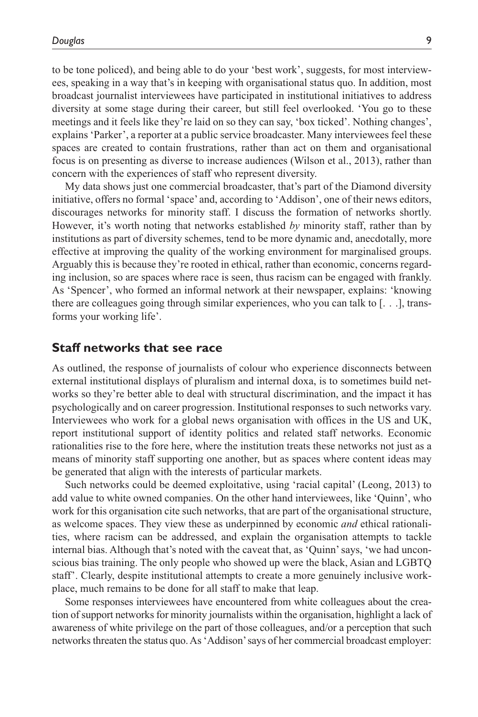to be tone policed), and being able to do your 'best work', suggests, for most interviewees, speaking in a way that's in keeping with organisational status quo. In addition, most broadcast journalist interviewees have participated in institutional initiatives to address diversity at some stage during their career, but still feel overlooked. 'You go to these meetings and it feels like they're laid on so they can say, 'box ticked'. Nothing changes', explains 'Parker', a reporter at a public service broadcaster. Many interviewees feel these spaces are created to contain frustrations, rather than act on them and organisational focus is on presenting as diverse to increase audiences (Wilson et al., 2013), rather than concern with the experiences of staff who represent diversity.

My data shows just one commercial broadcaster, that's part of the Diamond diversity initiative, offers no formal 'space' and, according to 'Addison', one of their news editors, discourages networks for minority staff. I discuss the formation of networks shortly. However, it's worth noting that networks established *by* minority staff, rather than by institutions as part of diversity schemes, tend to be more dynamic and, anecdotally, more effective at improving the quality of the working environment for marginalised groups. Arguably this is because they're rooted in ethical, rather than economic, concerns regarding inclusion, so are spaces where race is seen, thus racism can be engaged with frankly. As 'Spencer', who formed an informal network at their newspaper, explains: 'knowing there are colleagues going through similar experiences, who you can talk to [. . .], transforms your working life'.

#### **Staff networks that see race**

As outlined, the response of journalists of colour who experience disconnects between external institutional displays of pluralism and internal doxa, is to sometimes build networks so they're better able to deal with structural discrimination, and the impact it has psychologically and on career progression. Institutional responses to such networks vary. Interviewees who work for a global news organisation with offices in the US and UK, report institutional support of identity politics and related staff networks. Economic rationalities rise to the fore here, where the institution treats these networks not just as a means of minority staff supporting one another, but as spaces where content ideas may be generated that align with the interests of particular markets.

Such networks could be deemed exploitative, using 'racial capital' (Leong, 2013) to add value to white owned companies. On the other hand interviewees, like 'Quinn', who work for this organisation cite such networks, that are part of the organisational structure, as welcome spaces. They view these as underpinned by economic *and* ethical rationalities, where racism can be addressed, and explain the organisation attempts to tackle internal bias. Although that's noted with the caveat that, as 'Quinn' says, 'we had unconscious bias training. The only people who showed up were the black, Asian and LGBTQ staff'. Clearly, despite institutional attempts to create a more genuinely inclusive workplace, much remains to be done for all staff to make that leap.

Some responses interviewees have encountered from white colleagues about the creation of support networks for minority journalists within the organisation, highlight a lack of awareness of white privilege on the part of those colleagues, and/or a perception that such networks threaten the status quo. As 'Addison' says of her commercial broadcast employer: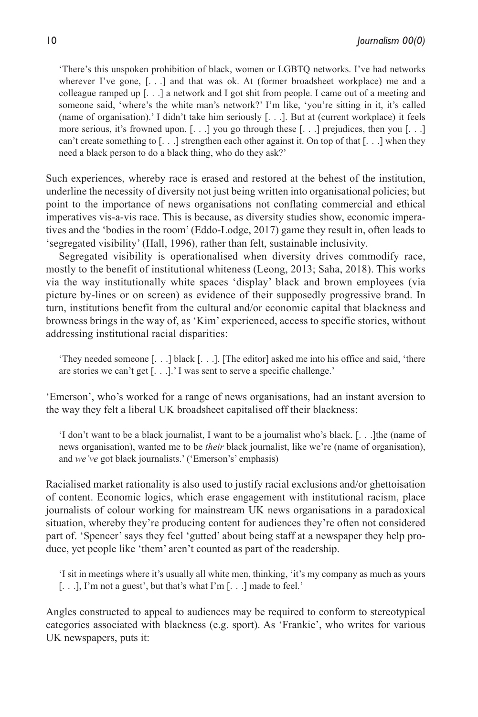'There's this unspoken prohibition of black, women or LGBTQ networks. I've had networks wherever I've gone, [. . .] and that was ok. At (former broadsheet workplace) me and a colleague ramped up [. . .] a network and I got shit from people. I came out of a meeting and someone said, 'where's the white man's network?' I'm like, 'you're sitting in it, it's called (name of organisation).' I didn't take him seriously [. . .]. But at (current workplace) it feels more serious, it's frowned upon.  $[\ldots]$  you go through these  $[\ldots]$  prejudices, then you  $[\ldots]$ can't create something to  $[...]$  strengthen each other against it. On top of that  $[...]$  when they need a black person to do a black thing, who do they ask?'

Such experiences, whereby race is erased and restored at the behest of the institution, underline the necessity of diversity not just being written into organisational policies; but point to the importance of news organisations not conflating commercial and ethical imperatives vis-a-vis race. This is because, as diversity studies show, economic imperatives and the 'bodies in the room' (Eddo-Lodge, 2017) game they result in, often leads to 'segregated visibility' (Hall, 1996), rather than felt, sustainable inclusivity.

Segregated visibility is operationalised when diversity drives commodify race, mostly to the benefit of institutional whiteness (Leong, 2013; Saha, 2018). This works via the way institutionally white spaces 'display' black and brown employees (via picture by-lines or on screen) as evidence of their supposedly progressive brand. In turn, institutions benefit from the cultural and/or economic capital that blackness and browness brings in the way of, as 'Kim' experienced, access to specific stories, without addressing institutional racial disparities:

'They needed someone [. . .] black [. . .]. [The editor] asked me into his office and said, 'there are stories we can't get [. . .].' I was sent to serve a specific challenge.'

'Emerson', who's worked for a range of news organisations, had an instant aversion to the way they felt a liberal UK broadsheet capitalised off their blackness:

'I don't want to be a black journalist, I want to be a journalist who's black. [. . .]the (name of news organisation), wanted me to be *their* black journalist, like we're (name of organisation), and *we've* got black journalists.' ('Emerson's' emphasis)

Racialised market rationality is also used to justify racial exclusions and/or ghettoisation of content. Economic logics, which erase engagement with institutional racism, place journalists of colour working for mainstream UK news organisations in a paradoxical situation, whereby they're producing content for audiences they're often not considered part of. 'Spencer' says they feel 'gutted' about being staff at a newspaper they help produce, yet people like 'them' aren't counted as part of the readership.

'I sit in meetings where it's usually all white men, thinking, 'it's my company as much as yours [. . .], I'm not a guest', but that's what I'm [. . .] made to feel.'

Angles constructed to appeal to audiences may be required to conform to stereotypical categories associated with blackness (e.g. sport). As 'Frankie', who writes for various UK newspapers, puts it: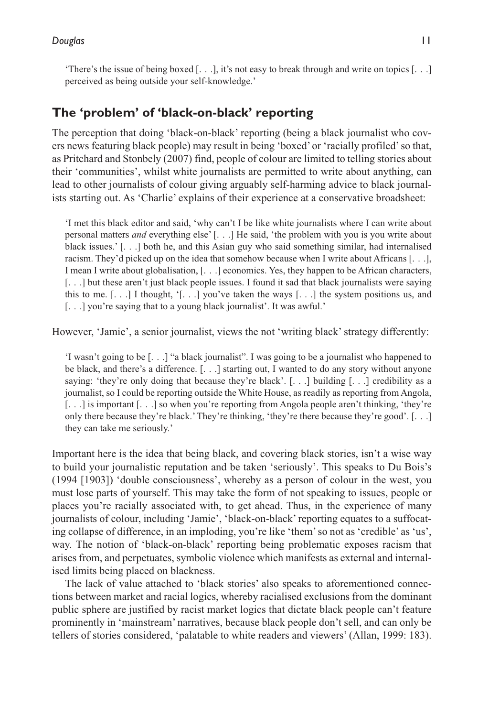'There's the issue of being boxed [. . .], it's not easy to break through and write on topics [. . .] perceived as being outside your self-knowledge.'

### **The 'problem' of 'black-on-black' reporting**

The perception that doing 'black-on-black' reporting (being a black journalist who covers news featuring black people) may result in being 'boxed' or 'racially profiled' so that, as Pritchard and Stonbely (2007) find, people of colour are limited to telling stories about their 'communities', whilst white journalists are permitted to write about anything, can lead to other journalists of colour giving arguably self-harming advice to black journalists starting out. As 'Charlie' explains of their experience at a conservative broadsheet:

'I met this black editor and said, 'why can't I be like white journalists where I can write about personal matters *and* everything else' [. . .] He said, 'the problem with you is you write about black issues.' [. . .] both he, and this Asian guy who said something similar, had internalised racism. They'd picked up on the idea that somehow because when I write about Africans [. . .], I mean I write about globalisation, [. . .] economics. Yes, they happen to be African characters, [. . .] but these aren't just black people issues. I found it sad that black journalists were saying this to me.  $[\ldots]$  I thought,  $[\ldots]$  you've taken the ways  $[\ldots]$  the system positions us, and [. . .] you're saying that to a young black journalist'. It was awful.'

However, 'Jamie', a senior journalist, views the not 'writing black' strategy differently:

'I wasn't going to be [. . .] "a black journalist". I was going to be a journalist who happened to be black, and there's a difference. [. . .] starting out, I wanted to do any story without anyone saying: 'they're only doing that because they're black'.  $[...]$  building  $[...]$  credibility as a journalist, so I could be reporting outside the White House, as readily as reporting from Angola, [...] is important [...] so when you're reporting from Angola people aren't thinking, 'they're only there because they're black.' They're thinking, 'they're there because they're good'. [. . .] they can take me seriously.'

Important here is the idea that being black, and covering black stories, isn't a wise way to build your journalistic reputation and be taken 'seriously'. This speaks to Du Bois's (1994 [1903]) 'double consciousness', whereby as a person of colour in the west, you must lose parts of yourself. This may take the form of not speaking to issues, people or places you're racially associated with, to get ahead. Thus, in the experience of many journalists of colour, including 'Jamie', 'black-on-black' reporting equates to a suffocating collapse of difference, in an imploding, you're like 'them' so not as 'credible' as 'us', way. The notion of 'black-on-black' reporting being problematic exposes racism that arises from, and perpetuates, symbolic violence which manifests as external and internalised limits being placed on blackness.

The lack of value attached to 'black stories' also speaks to aforementioned connections between market and racial logics, whereby racialised exclusions from the dominant public sphere are justified by racist market logics that dictate black people can't feature prominently in 'mainstream' narratives, because black people don't sell, and can only be tellers of stories considered, 'palatable to white readers and viewers' (Allan, 1999: 183).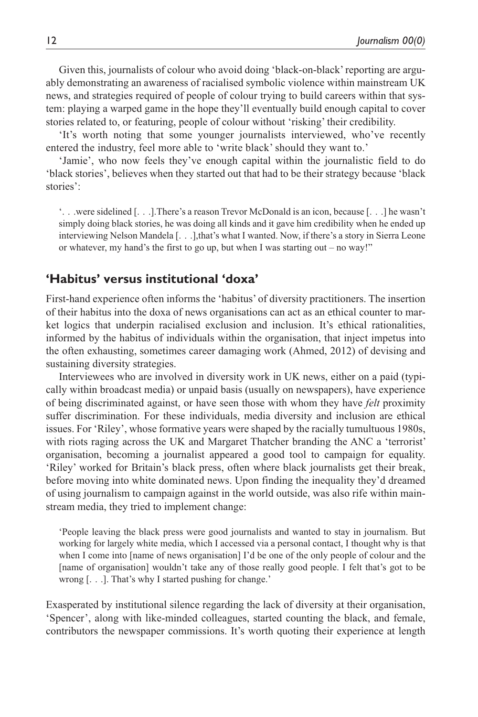Given this, journalists of colour who avoid doing 'black-on-black' reporting are arguably demonstrating an awareness of racialised symbolic violence within mainstream UK news, and strategies required of people of colour trying to build careers within that system: playing a warped game in the hope they'll eventually build enough capital to cover stories related to, or featuring, people of colour without 'risking' their credibility.

'It's worth noting that some younger journalists interviewed, who've recently entered the industry, feel more able to 'write black' should they want to.'

'Jamie', who now feels they've enough capital within the journalistic field to do 'black stories', believes when they started out that had to be their strategy because 'black stories':

'. . .were sidelined [. . .].There's a reason Trevor McDonald is an icon, because [. . .] he wasn't simply doing black stories, he was doing all kinds and it gave him credibility when he ended up interviewing Nelson Mandela [. . .],that's what I wanted. Now, if there's a story in Sierra Leone or whatever, my hand's the first to go up, but when I was starting out – no way!"

## **'Habitus' versus institutional 'doxa'**

First-hand experience often informs the 'habitus' of diversity practitioners. The insertion of their habitus into the doxa of news organisations can act as an ethical counter to market logics that underpin racialised exclusion and inclusion. It's ethical rationalities, informed by the habitus of individuals within the organisation, that inject impetus into the often exhausting, sometimes career damaging work (Ahmed, 2012) of devising and sustaining diversity strategies.

Interviewees who are involved in diversity work in UK news, either on a paid (typically within broadcast media) or unpaid basis (usually on newspapers), have experience of being discriminated against, or have seen those with whom they have *felt* proximity suffer discrimination. For these individuals, media diversity and inclusion are ethical issues. For 'Riley', whose formative years were shaped by the racially tumultuous 1980s, with riots raging across the UK and Margaret Thatcher branding the ANC a 'terrorist' organisation, becoming a journalist appeared a good tool to campaign for equality. 'Riley' worked for Britain's black press, often where black journalists get their break, before moving into white dominated news. Upon finding the inequality they'd dreamed of using journalism to campaign against in the world outside, was also rife within mainstream media, they tried to implement change:

'People leaving the black press were good journalists and wanted to stay in journalism. But working for largely white media, which I accessed via a personal contact, I thought why is that when I come into [name of news organisation] I'd be one of the only people of colour and the [name of organisation] wouldn't take any of those really good people. I felt that's got to be wrong [. . .]. That's why I started pushing for change.'

Exasperated by institutional silence regarding the lack of diversity at their organisation, 'Spencer', along with like-minded colleagues, started counting the black, and female, contributors the newspaper commissions. It's worth quoting their experience at length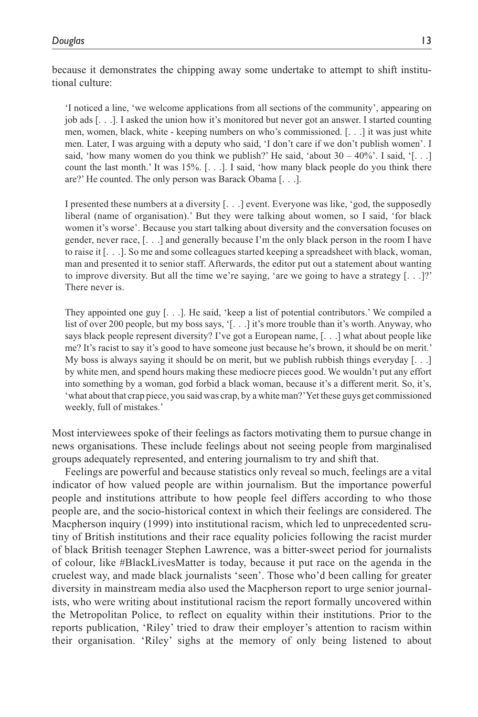because it demonstrates the chipping away some undertake to attempt to shift institutional culture:

'I noticed a line, 'we welcome applications from all sections of the community', appearing on job ads [. . .]. I asked the union how it's monitored but never got an answer. I started counting men, women, black, white - keeping numbers on who's commissioned. [. . .] it was just white men. Later, I was arguing with a deputy who said, 'I don't care if we don't publish women'. I said, 'how many women do you think we publish?' He said, 'about  $30 - 40\%$ '. I said, '[...] count the last month.' It was 15%. [. . .]. I said, 'how many black people do you think there are?' He counted. The only person was Barack Obama [. . .].

I presented these numbers at a diversity [. . .] event. Everyone was like, 'god, the supposedly liberal (name of organisation).' But they were talking about women, so I said, 'for black women it's worse'. Because you start talking about diversity and the conversation focuses on gender, never race, [. . .] and generally because I'm the only black person in the room I have to raise it [. . .]. So me and some colleagues started keeping a spreadsheet with black, woman, man and presented it to senior staff. Afterwards, the editor put out a statement about wanting to improve diversity. But all the time we're saying, 'are we going to have a strategy  $[\ldots]$ ?' There never is.

They appointed one guy [. . .]. He said, 'keep a list of potential contributors.' We compiled a list of over 200 people, but my boss says, '[. . .] it's more trouble than it's worth. Anyway, who says black people represent diversity? I've got a European name, [. . .] what about people like me? It's racist to say it's good to have someone just because he's brown, it should be on merit.' My boss is always saying it should be on merit, but we publish rubbish things everyday  $\lceil \ldots \rceil$ by white men, and spend hours making these mediocre pieces good. We wouldn't put any effort into something by a woman, god forbid a black woman, because it's a different merit. So, it's, 'what about that crap piece, you said was crap, by a white man?' Yet these guys get commissioned weekly, full of mistakes.'

Most interviewees spoke of their feelings as factors motivating them to pursue change in news organisations. These include feelings about not seeing people from marginalised groups adequately represented, and entering journalism to try and shift that.

Feelings are powerful and because statistics only reveal so much, feelings are a vital indicator of how valued people are within journalism. But the importance powerful people and institutions attribute to how people feel differs according to who those people are, and the socio-historical context in which their feelings are considered. The Macpherson inquiry (1999) into institutional racism, which led to unprecedented scrutiny of British institutions and their race equality policies following the racist murder of black British teenager Stephen Lawrence, was a bitter-sweet period for journalists of colour, like #BlackLivesMatter is today, because it put race on the agenda in the cruelest way, and made black journalists 'seen'. Those who'd been calling for greater diversity in mainstream media also used the Macpherson report to urge senior journalists, who were writing about institutional racism the report formally uncovered within the Metropolitan Police, to reflect on equality within their institutions. Prior to the reports publication, 'Riley' tried to draw their employer's attention to racism within their organisation. 'Riley' sighs at the memory of only being listened to about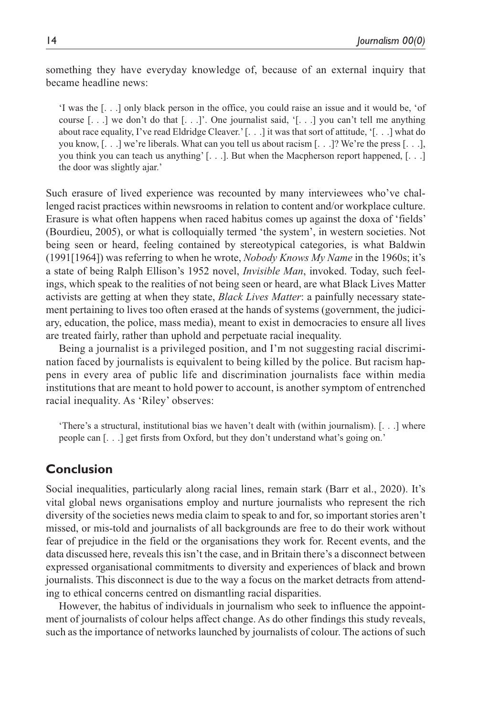something they have everyday knowledge of, because of an external inquiry that became headline news:

'I was the [. . .] only black person in the office, you could raise an issue and it would be, 'of course  $[\ldots]$  we don't do that  $[\ldots]$ . One journalist said,  $[\ldots]$  you can't tell me anything about race equality, I've read Eldridge Cleaver.' [. . .] it was that sort of attitude, '[. . .] what do you know,  $[\ldots]$  we're liberals. What can you tell us about racism  $[\ldots]$ ? We're the press  $[\ldots]$ , you think you can teach us anything' [. . .]. But when the Macpherson report happened, [. . .] the door was slightly ajar.'

Such erasure of lived experience was recounted by many interviewees who've challenged racist practices within newsrooms in relation to content and/or workplace culture. Erasure is what often happens when raced habitus comes up against the doxa of 'fields' (Bourdieu, 2005), or what is colloquially termed 'the system', in western societies. Not being seen or heard, feeling contained by stereotypical categories, is what Baldwin (1991[1964]) was referring to when he wrote, *Nobody Knows My Name* in the 1960s; it's a state of being Ralph Ellison's 1952 novel, *Invisible Man*, invoked. Today, such feelings, which speak to the realities of not being seen or heard, are what Black Lives Matter activists are getting at when they state, *Black Lives Matter*: a painfully necessary statement pertaining to lives too often erased at the hands of systems (government, the judiciary, education, the police, mass media), meant to exist in democracies to ensure all lives are treated fairly, rather than uphold and perpetuate racial inequality.

Being a journalist is a privileged position, and I'm not suggesting racial discrimination faced by journalists is equivalent to being killed by the police. But racism happens in every area of public life and discrimination journalists face within media institutions that are meant to hold power to account, is another symptom of entrenched racial inequality. As 'Riley' observes:

'There's a structural, institutional bias we haven't dealt with (within journalism). [. . .] where people can [. . .] get firsts from Oxford, but they don't understand what's going on.'

### **Conclusion**

Social inequalities, particularly along racial lines, remain stark (Barr et al., 2020). It's vital global news organisations employ and nurture journalists who represent the rich diversity of the societies news media claim to speak to and for, so important stories aren't missed, or mis-told and journalists of all backgrounds are free to do their work without fear of prejudice in the field or the organisations they work for. Recent events, and the data discussed here, reveals this isn't the case, and in Britain there's a disconnect between expressed organisational commitments to diversity and experiences of black and brown journalists. This disconnect is due to the way a focus on the market detracts from attending to ethical concerns centred on dismantling racial disparities.

However, the habitus of individuals in journalism who seek to influence the appointment of journalists of colour helps affect change. As do other findings this study reveals, such as the importance of networks launched by journalists of colour. The actions of such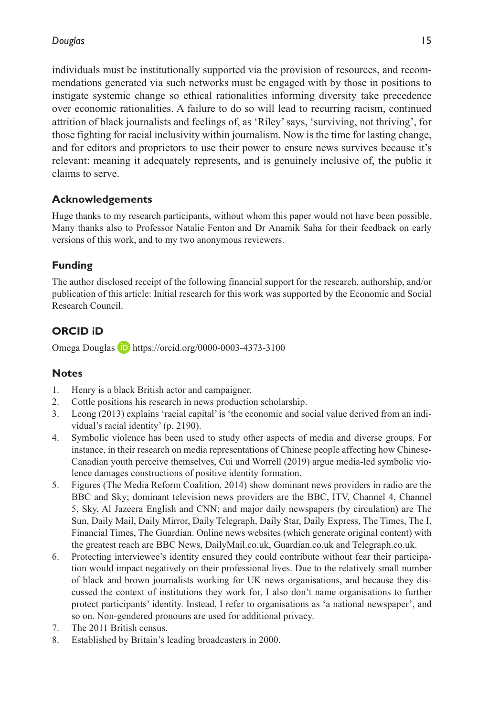individuals must be institutionally supported via the provision of resources, and recommendations generated via such networks must be engaged with by those in positions to instigate systemic change so ethical rationalities informing diversity take precedence over economic rationalities. A failure to do so will lead to recurring racism, continued attrition of black journalists and feelings of, as 'Riley' says, 'surviving, not thriving', for those fighting for racial inclusivity within journalism. Now is the time for lasting change, and for editors and proprietors to use their power to ensure news survives because it's relevant: meaning it adequately represents, and is genuinely inclusive of, the public it claims to serve.

### **Acknowledgements**

Huge thanks to my research participants, without whom this paper would not have been possible. Many thanks also to Professor Natalie Fenton and Dr Anamik Saha for their feedback on early versions of this work, and to my two anonymous reviewers.

### **Funding**

The author disclosed receipt of the following financial support for the research, authorship, and/or publication of this article: Initial research for this work was supported by the Economic and Social Research Council.

### **ORCID iD**

Omega Douglas **D** <https://orcid.org/0000-0003-4373-3100>

#### **Notes**

- 1. Henry is a black British actor and campaigner.
- 2. Cottle positions his research in news production scholarship.
- 3. Leong (2013) explains 'racial capital' is 'the economic and social value derived from an individual's racial identity' (p. 2190).
- 4. Symbolic violence has been used to study other aspects of media and diverse groups. For instance, in their research on media representations of Chinese people affecting how Chinese-Canadian youth perceive themselves, Cui and Worrell (2019) argue media-led symbolic violence damages constructions of positive identity formation.
- 5. Figures (The Media Reform Coalition, 2014) show dominant news providers in radio are the BBC and Sky; dominant television news providers are the BBC, ITV, Channel 4, Channel 5, Sky, Al Jazeera English and CNN; and major daily newspapers (by circulation) are The Sun, Daily Mail, Daily Mirror, Daily Telegraph, Daily Star, Daily Express, The Times, The I, Financial Times, The Guardian. Online news websites (which generate original content) with the greatest reach are BBC News, DailyMail.co.uk, Guardian.co.uk and Telegraph.co.uk.
- 6. Protecting interviewee's identity ensured they could contribute without fear their participation would impact negatively on their professional lives. Due to the relatively small number of black and brown journalists working for UK news organisations, and because they discussed the context of institutions they work for, I also don't name organisations to further protect participants' identity. Instead, I refer to organisations as 'a national newspaper', and so on. Non-gendered pronouns are used for additional privacy.
- 7. The 2011 British census.
- 8. Established by Britain's leading broadcasters in 2000.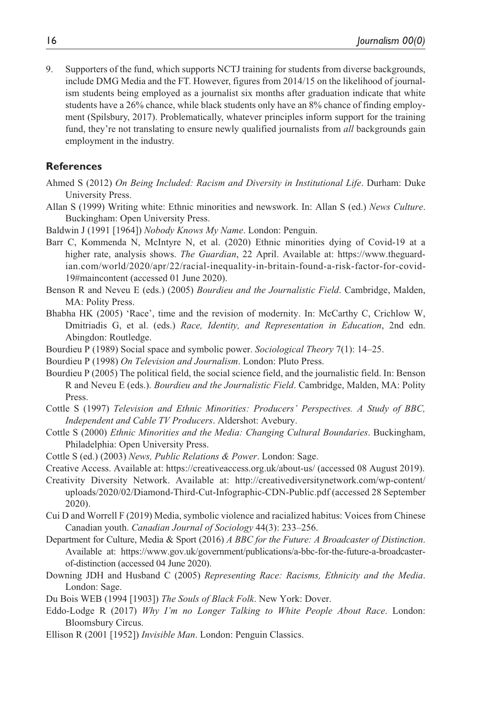9. Supporters of the fund, which supports NCTJ training for students from diverse backgrounds, include DMG Media and the FT. However, figures from 2014/15 on the likelihood of journalism students being employed as a journalist six months after graduation indicate that white students have a 26% chance, while black students only have an 8% chance of finding employment (Spilsbury, 2017). Problematically, whatever principles inform support for the training fund, they're not translating to ensure newly qualified journalists from *all* backgrounds gain employment in the industry.

#### **References**

- Ahmed S (2012) *On Being Included: Racism and Diversity in Institutional Life*. Durham: Duke University Press.
- Allan S (1999) Writing white: Ethnic minorities and newswork. In: Allan S (ed.) *News Culture*. Buckingham: Open University Press.
- Baldwin J (1991 [1964]) *Nobody Knows My Name*. London: Penguin.
- Barr C, Kommenda N, McIntyre N, et al. (2020) Ethnic minorities dying of Covid-19 at a higher rate, analysis shows. *The Guardian*, 22 April. Available at: [https://www.theguard](https://www.theguardian.com/world/2020/apr/22/racial-inequality-in-britain-found-a-risk-factor-for-covid-19#maincontent)[ian.com/world/2020/apr/22/racial-inequality-in-britain-found-a-risk-factor-for-covid-](https://www.theguardian.com/world/2020/apr/22/racial-inequality-in-britain-found-a-risk-factor-for-covid-19#maincontent)[19#maincontent](https://www.theguardian.com/world/2020/apr/22/racial-inequality-in-britain-found-a-risk-factor-for-covid-19#maincontent) (accessed 01 June 2020).
- Benson R and Neveu E (eds.) (2005) *Bourdieu and the Journalistic Field*. Cambridge, Malden, MA: Polity Press.
- Bhabha HK (2005) 'Race', time and the revision of modernity. In: McCarthy C, Crichlow W, Dmitriadis G, et al. (eds.) *Race, Identity, and Representation in Education*, 2nd edn. Abingdon: Routledge.
- Bourdieu P (1989) Social space and symbolic power. *Sociological Theory* 7(1): 14–25.
- Bourdieu P (1998) *On Television and Journalism*. London: Pluto Press.
- Bourdieu P (2005) The political field, the social science field, and the journalistic field. In: Benson R and Neveu E (eds.). *Bourdieu and the Journalistic Field*. Cambridge, Malden, MA: Polity Press.
- Cottle S (1997) *Television and Ethnic Minorities: Producers' Perspectives. A Study of BBC, Independent and Cable TV Producers*. Aldershot: Avebury.
- Cottle S (2000) *Ethnic Minorities and the Media: Changing Cultural Boundaries*. Buckingham, Philadelphia: Open University Press.
- Cottle S (ed.) (2003) *News, Public Relations & Power*. London: Sage.
- Creative Access. Available at: <https://creativeaccess.org.uk/about-us/>(accessed 08 August 2019).
- Creativity Diversity Network. Available at: [http://creativediversitynetwork.com/wp-content/](http://creativediversitynetwork.com/wp-content/uploads/2020/02/Diamond-Third-Cut-Infographic-CDN-Public.pdf) [uploads/2020/02/Diamond-Third-Cut-Infographic-CDN-Public.pdf](http://creativediversitynetwork.com/wp-content/uploads/2020/02/Diamond-Third-Cut-Infographic-CDN-Public.pdf) (accessed 28 September 2020).
- Cui D and Worrell F (2019) Media, symbolic violence and racialized habitus: Voices from Chinese Canadian youth. *Canadian Journal of Sociology* 44(3): 233–256.
- Department for Culture, Media & Sport (2016) *A BBC for the Future: A Broadcaster of Distinction*. Available at: [https://www.gov.uk/government/publications/a-bbc-for-the-future-a-broadcaster](https://www.gov.uk/government/publications/a-bbc-for-the-future-a-broadcaster-of-distinction)[of-distinction](https://www.gov.uk/government/publications/a-bbc-for-the-future-a-broadcaster-of-distinction) (accessed 04 June 2020).
- Downing JDH and Husband C (2005) *Representing Race: Racisms, Ethnicity and the Media*. London: Sage.
- Du Bois WEB (1994 [1903]) *The Souls of Black Folk*. New York: Dover.
- Eddo-Lodge R (2017) *Why I'm no Longer Talking to White People About Race*. London: Bloomsbury Circus.
- Ellison R (2001 [1952]) *Invisible Man*. London: Penguin Classics.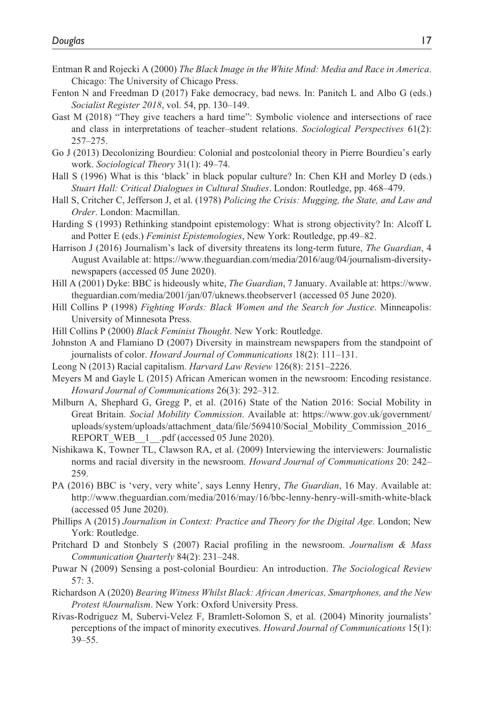- Entman R and Rojecki A (2000) *The Black Image in the White Mind: Media and Race in America*. Chicago: The University of Chicago Press.
- Fenton N and Freedman D (2017) Fake democracy, bad news. In: Panitch L and Albo G (eds.) *Socialist Register 2018*, vol. 54, pp. 130–149.
- Gast M (2018) "They give teachers a hard time": Symbolic violence and intersections of race and class in interpretations of teacher–student relations. *Sociological Perspectives* 61(2): 257–275.
- Go J (2013) Decolonizing Bourdieu: Colonial and postcolonial theory in Pierre Bourdieu's early work. *Sociological Theory* 31(1): 49–74.
- Hall S (1996) What is this 'black' in black popular culture? In: Chen KH and Morley D (eds.) *Stuart Hall: Critical Dialogues in Cultural Studies*. London: Routledge, pp. 468–479.
- Hall S, Critcher C, Jefferson J, et al. (1978) *Policing the Crisis: Mugging, the State, and Law and Order*. London: Macmillan.
- Harding S (1993) Rethinking standpoint epistemology: What is strong objectivity? In: Alcoff L and Potter E (eds.) *Feminist Epistemologies*, New York: Routledge, pp.49–82.
- Harrison J (2016) Journalism's lack of diversity threatens its long-term future, *The Guardian*, 4 August Available at: [https://www.theguardian.com/media/2016/aug/04/journalism-diversity](https://www.theguardian.com/media/2016/aug/04/journalism-diversity-newspapers)[newspapers](https://www.theguardian.com/media/2016/aug/04/journalism-diversity-newspapers) (accessed 05 June 2020).
- Hill A (2001) Dyke: BBC is hideously white, *The Guardian*, 7 January. Available at: [https://www.](https://www.theguardian.com/media/2001/jan/07/uknews.theobserver1) [theguardian.com/media/2001/jan/07/uknews.theobserver1](https://www.theguardian.com/media/2001/jan/07/uknews.theobserver1) (accessed 05 June 2020).
- Hill Collins P (1998) *Fighting Words: Black Women and the Search for Justice*. Minneapolis: University of Minnesota Press.
- Hill Collins P (2000) *Black Feminist Thought*. New York: Routledge.
- Johnston A and Flamiano D (2007) Diversity in mainstream newspapers from the standpoint of journalists of color. *Howard Journal of Communications* 18(2): 111–131.
- Leong N (2013) Racial capitalism. *Harvard Law Review* 126(8): 2151–2226.
- Meyers M and Gayle L (2015) African American women in the newsroom: Encoding resistance. *Howard Journal of Communications* 26(3): 292–312.
- Milburn A, Shephard G, Gregg P, et al. (2016) State of the Nation 2016: Social Mobility in Great Britain. *Social Mobility Commission*. Available at: [https://www.gov.uk/government/](https://www.gov.uk/government/uploads/system/uploads/attachment_data/file/569410/Social_Mobility_Commission_2016_REPORT_WEB__1__.pdf) [uploads/system/uploads/attachment\\_data/file/569410/Social\\_Mobility\\_Commission\\_2016\\_](https://www.gov.uk/government/uploads/system/uploads/attachment_data/file/569410/Social_Mobility_Commission_2016_REPORT_WEB__1__.pdf) REPORT WEB 1 .pdf (accessed 05 June 2020).
- Nishikawa K, Towner TL, Clawson RA, et al. (2009) Interviewing the interviewers: Journalistic norms and racial diversity in the newsroom. *Howard Journal of Communications* 20: 242– 259.
- PA (2016) BBC is 'very, very white', says Lenny Henry, *The Guardian*, 16 May. Available at: <http://www.theguardian.com/media/2016/may/16/bbc-lenny-henry-will-smith-white-black> (accessed 05 June 2020).
- Phillips A (2015) *Journalism in Context: Practice and Theory for the Digital Age*. London; New York: Routledge.
- Pritchard D and Stonbely S (2007) Racial profiling in the newsroom. *Journalism & Mass Communication Quarterly* 84(2): 231–248.
- Puwar N (2009) Sensing a post-colonial Bourdieu: An introduction. *The Sociological Review* 57: 3.
- Richardson A (2020) *Bearing Witness Whilst Black: African Americas, Smartphones, and the New Protest #Journalism*. New York: Oxford University Press.
- Rivas-Rodriguez M, Subervi-Velez F, Bramlett-Solomon S, et al. (2004) Minority journalists' perceptions of the impact of minority executives. *Howard Journal of Communications* 15(1): 39–55.